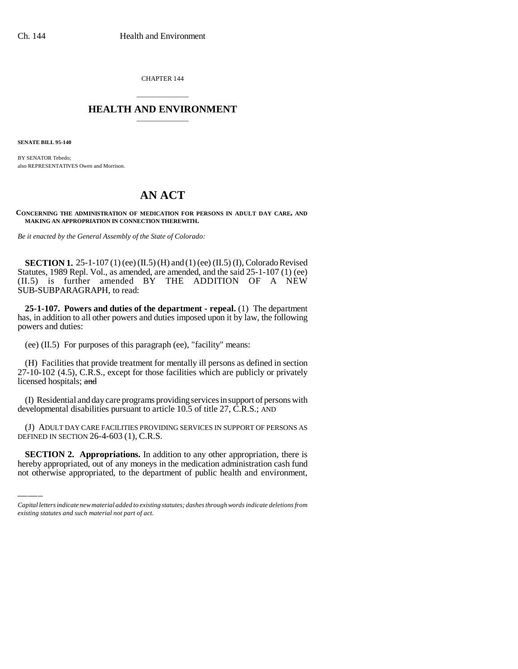CHAPTER 144

## \_\_\_\_\_\_\_\_\_\_\_\_\_\_\_ **HEALTH AND ENVIRONMENT** \_\_\_\_\_\_\_\_\_\_\_\_\_\_\_

**SENATE BILL 95-140**

BY SENATOR Tebedo; also REPRESENTATIVES Owen and Morrison.

## **AN ACT**

**CONCERNING THE ADMINISTRATION OF MEDICATION FOR PERSONS IN ADULT DAY CARE, AND MAKING AN APPROPRIATION IN CONNECTION THEREWITH.**

*Be it enacted by the General Assembly of the State of Colorado:*

**SECTION 1.** 25-1-107 (1) (ee) (II.5) (H) and (1) (ee) (II.5) (I), Colorado Revised Statutes, 1989 Repl. Vol., as amended, are amended, and the said 25-1-107 (1) (ee) (II.5) is further amended BY THE ADDITION OF A NEW SUB-SUBPARAGRAPH, to read:

**25-1-107. Powers and duties of the department - repeal.** (1) The department has, in addition to all other powers and duties imposed upon it by law, the following powers and duties:

(ee) (II.5) For purposes of this paragraph (ee), "facility" means:

(H) Facilities that provide treatment for mentally ill persons as defined in section 27-10-102 (4.5), C.R.S., except for those facilities which are publicly or privately licensed hospitals; and

(I) Residential and day care programs providing services in support of persons with developmental disabilities pursuant to article 10.5 of title 27, C.R.S.; AND

DEFINED IN SECTION 26-4-603 (1), C.R.S. (J) ADULT DAY CARE FACILITIES PROVIDING SERVICES IN SUPPORT OF PERSONS AS

**SECTION 2. Appropriations.** In addition to any other appropriation, there is hereby appropriated, out of any moneys in the medication administration cash fund not otherwise appropriated, to the department of public health and environment,

*Capital letters indicate new material added to existing statutes; dashes through words indicate deletions from existing statutes and such material not part of act.*